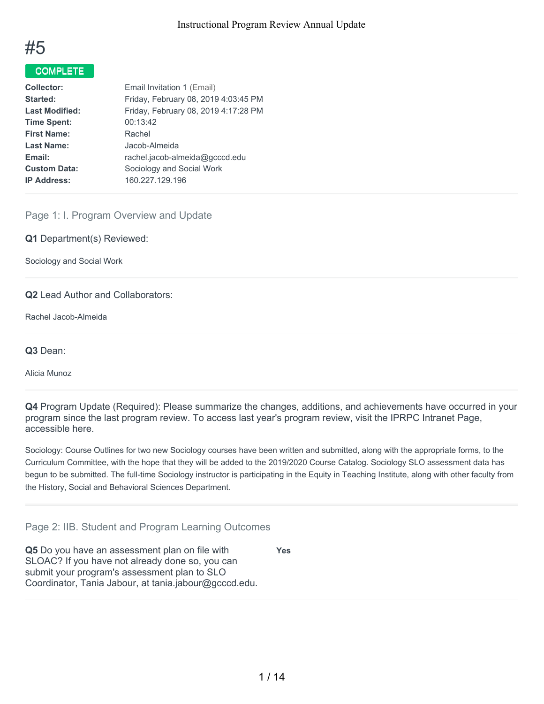

## COMPLETE

| <b>Collector:</b>     | Email Invitation 1 (Email)           |
|-----------------------|--------------------------------------|
| Started:              | Friday, February 08, 2019 4:03:45 PM |
| <b>Last Modified:</b> | Friday, February 08, 2019 4:17:28 PM |
| <b>Time Spent:</b>    | 00:13:42                             |
| <b>First Name:</b>    | Rachel                               |
| <b>Last Name:</b>     | Jacob-Almeida                        |
| Email:                | rachel.jacob-almeida@gcccd.edu       |
| <b>Custom Data:</b>   | Sociology and Social Work            |
| <b>IP Address:</b>    | 160.227.129.196                      |

## Page 1: I. Program Overview and Update

**Q1** Department(s) Reviewed:

Sociology and Social Work

**Q2** Lead Author and Collaborators:

Rachel Jacob-Almeida

**Q3** Dean:

Alicia Munoz

**Q4** Program Update (Required): Please summarize the changes, additions, and achievements have occurred in your program since the last program review. To access last year's program review, visit the IPRPC Intranet Page, accessible here.

Sociology: Course Outlines for two new Sociology courses have been written and submitted, along with the appropriate forms, to the Curriculum Committee, with the hope that they will be added to the 2019/2020 Course Catalog. Sociology SLO assessment data has begun to be submitted. The full-time Sociology instructor is participating in the Equity in Teaching Institute, along with other faculty from the History, Social and Behavioral Sciences Department.

Page 2: IIB. Student and Program Learning Outcomes

**Q5** Do you have an assessment plan on file with SLOAC? If you have not already done so, you can submit your program's assessment plan to SLO Coordinator, Tania Jabour, at tania.jabour@gcccd.edu. **Yes**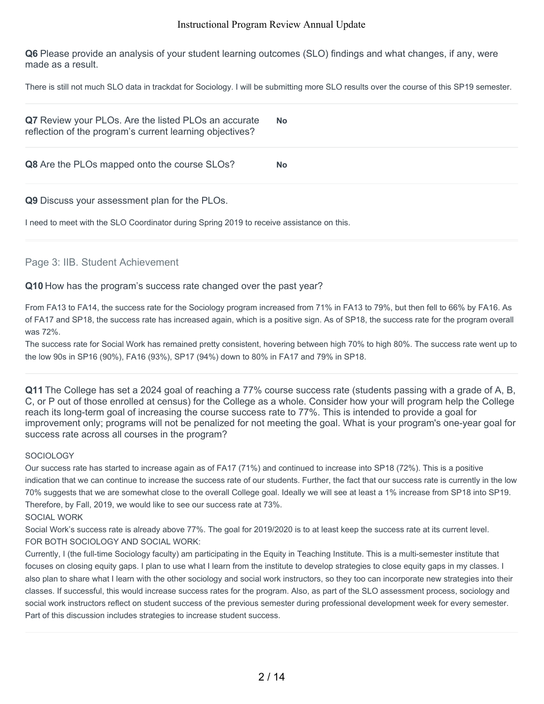**Q6** Please provide an analysis of your student learning outcomes (SLO) findings and what changes, if any, were made as a result.

There is still not much SLO data in trackdat for Sociology. I will be submitting more SLO results over the course of this SP19 semester.

| Q7 Review your PLOs. Are the listed PLOs an accurate<br>reflection of the program's current learning objectives? | <b>No</b> |
|------------------------------------------------------------------------------------------------------------------|-----------|
| <b>Q8</b> Are the PLOs mapped onto the course SLOs?                                                              | <b>No</b> |

**Q9** Discuss your assessment plan for the PLOs.

I need to meet with the SLO Coordinator during Spring 2019 to receive assistance on this.

#### Page 3: IIB. Student Achievement

#### **Q10** How has the program's success rate changed over the past year?

From FA13 to FA14, the success rate for the Sociology program increased from 71% in FA13 to 79%, but then fell to 66% by FA16. As of FA17 and SP18, the success rate has increased again, which is a positive sign. As of SP18, the success rate for the program overall was 72%.

The success rate for Social Work has remained pretty consistent, hovering between high 70% to high 80%. The success rate went up to the low 90s in SP16 (90%), FA16 (93%), SP17 (94%) down to 80% in FA17 and 79% in SP18.

**Q11** The College has set a 2024 goal of reaching a 77% course success rate (students passing with a grade of A, B, C, or P out of those enrolled at census) for the College as a whole. Consider how your will program help the College reach its long-term goal of increasing the course success rate to 77%. This is intended to provide a goal for improvement only; programs will not be penalized for not meeting the goal. What is your program's one-year goal for success rate across all courses in the program?

#### **SOCIOLOGY**

Our success rate has started to increase again as of FA17 (71%) and continued to increase into SP18 (72%). This is a positive indication that we can continue to increase the success rate of our students. Further, the fact that our success rate is currently in the low 70% suggests that we are somewhat close to the overall College goal. Ideally we will see at least a 1% increase from SP18 into SP19. Therefore, by Fall, 2019, we would like to see our success rate at 73%.

SOCIAL WORK

Social Work's success rate is already above 77%. The goal for 2019/2020 is to at least keep the success rate at its current level. FOR BOTH SOCIOLOGY AND SOCIAL WORK:

Currently, I (the full-time Sociology faculty) am participating in the Equity in Teaching Institute. This is a multi-semester institute that focuses on closing equity gaps. I plan to use what I learn from the institute to develop strategies to close equity gaps in my classes. I also plan to share what I learn with the other sociology and social work instructors, so they too can incorporate new strategies into their classes. If successful, this would increase success rates for the program. Also, as part of the SLO assessment process, sociology and social work instructors reflect on student success of the previous semester during professional development week for every semester. Part of this discussion includes strategies to increase student success.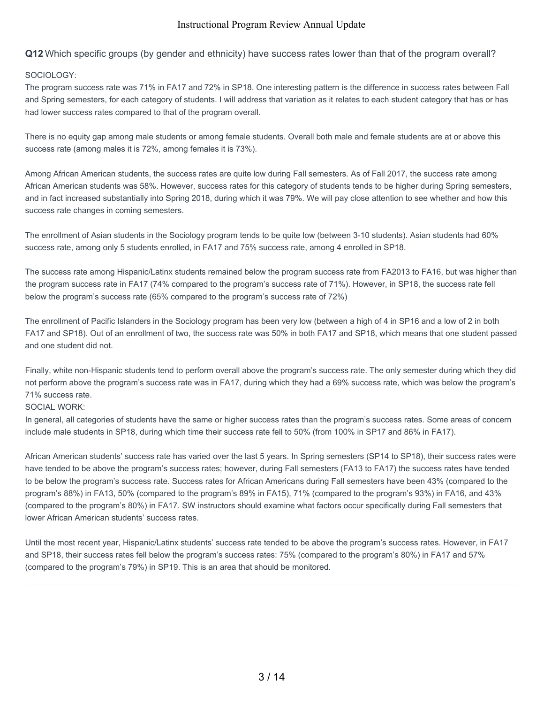**Q12** Which specific groups (by gender and ethnicity) have success rates lower than that of the program overall?

#### SOCIOLOGY:

The program success rate was 71% in FA17 and 72% in SP18. One interesting pattern is the difference in success rates between Fall and Spring semesters, for each category of students. I will address that variation as it relates to each student category that has or has had lower success rates compared to that of the program overall.

There is no equity gap among male students or among female students. Overall both male and female students are at or above this success rate (among males it is 72%, among females it is 73%).

Among African American students, the success rates are quite low during Fall semesters. As of Fall 2017, the success rate among African American students was 58%. However, success rates for this category of students tends to be higher during Spring semesters, and in fact increased substantially into Spring 2018, during which it was 79%. We will pay close attention to see whether and how this success rate changes in coming semesters.

The enrollment of Asian students in the Sociology program tends to be quite low (between 3-10 students). Asian students had 60% success rate, among only 5 students enrolled, in FA17 and 75% success rate, among 4 enrolled in SP18.

The success rate among Hispanic/Latinx students remained below the program success rate from FA2013 to FA16, but was higher than the program success rate in FA17 (74% compared to the program's success rate of 71%). However, in SP18, the success rate fell below the program's success rate (65% compared to the program's success rate of 72%)

The enrollment of Pacific Islanders in the Sociology program has been very low (between a high of 4 in SP16 and a low of 2 in both FA17 and SP18). Out of an enrollment of two, the success rate was 50% in both FA17 and SP18, which means that one student passed and one student did not.

Finally, white non-Hispanic students tend to perform overall above the program's success rate. The only semester during which they did not perform above the program's success rate was in FA17, during which they had a 69% success rate, which was below the program's 71% success rate.

#### SOCIAL WORK:

In general, all categories of students have the same or higher success rates than the program's success rates. Some areas of concern include male students in SP18, during which time their success rate fell to 50% (from 100% in SP17 and 86% in FA17).

African American students' success rate has varied over the last 5 years. In Spring semesters (SP14 to SP18), their success rates were have tended to be above the program's success rates; however, during Fall semesters (FA13 to FA17) the success rates have tended to be below the program's success rate. Success rates for African Americans during Fall semesters have been 43% (compared to the program's 88%) in FA13, 50% (compared to the program's 89% in FA15), 71% (compared to the program's 93%) in FA16, and 43% (compared to the program's 80%) in FA17. SW instructors should examine what factors occur specifically during Fall semesters that lower African American students' success rates.

Until the most recent year, Hispanic/Latinx students' success rate tended to be above the program's success rates. However, in FA17 and SP18, their success rates fell below the program's success rates: 75% (compared to the program's 80%) in FA17 and 57% (compared to the program's 79%) in SP19. This is an area that should be monitored.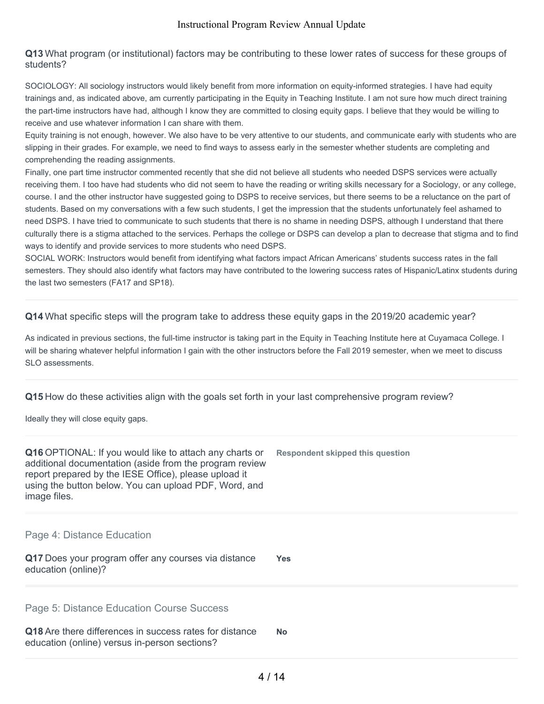#### **Q13** What program (or institutional) factors may be contributing to these lower rates of success for these groups of students?

SOCIOLOGY: All sociology instructors would likely benefit from more information on equity-informed strategies. I have had equity trainings and, as indicated above, am currently participating in the Equity in Teaching Institute. I am not sure how much direct training the part-time instructors have had, although I know they are committed to closing equity gaps. I believe that they would be willing to receive and use whatever information I can share with them.

Equity training is not enough, however. We also have to be very attentive to our students, and communicate early with students who are slipping in their grades. For example, we need to find ways to assess early in the semester whether students are completing and comprehending the reading assignments.

Finally, one part time instructor commented recently that she did not believe all students who needed DSPS services were actually receiving them. I too have had students who did not seem to have the reading or writing skills necessary for a Sociology, or any college, course. I and the other instructor have suggested going to DSPS to receive services, but there seems to be a reluctance on the part of students. Based on my conversations with a few such students, I get the impression that the students unfortunately feel ashamed to need DSPS. I have tried to communicate to such students that there is no shame in needing DSPS, although I understand that there culturally there is a stigma attached to the services. Perhaps the college or DSPS can develop a plan to decrease that stigma and to find ways to identify and provide services to more students who need DSPS.

SOCIAL WORK: Instructors would benefit from identifying what factors impact African Americans' students success rates in the fall semesters. They should also identify what factors may have contributed to the lowering success rates of Hispanic/Latinx students during the last two semesters (FA17 and SP18).

**Q14** What specific steps will the program take to address these equity gaps in the 2019/20 academic year?

As indicated in previous sections, the full-time instructor is taking part in the Equity in Teaching Institute here at Cuyamaca College. I will be sharing whatever helpful information I gain with the other instructors before the Fall 2019 semester, when we meet to discuss SLO assessments.

**Q15** How do these activities align with the goals set forth in your last comprehensive program review?

Ideally they will close equity gaps.

| <b>Q16</b> OPTIONAL: If you would like to attach any charts or<br>additional documentation (aside from the program review<br>report prepared by the IESE Office), please upload it<br>using the button below. You can upload PDF, Word, and<br>image files. | Respondent skipped this question |
|-------------------------------------------------------------------------------------------------------------------------------------------------------------------------------------------------------------------------------------------------------------|----------------------------------|
| Page 4: Distance Education                                                                                                                                                                                                                                  |                                  |
| Q17 Does your program offer any courses via distance<br>education (online)?                                                                                                                                                                                 | <b>Yes</b>                       |
| Page 5: Distance Education Course Success                                                                                                                                                                                                                   |                                  |
| Q18 Are there differences in success rates for distance<br>education (online) versus in-person sections?                                                                                                                                                    | <b>No</b>                        |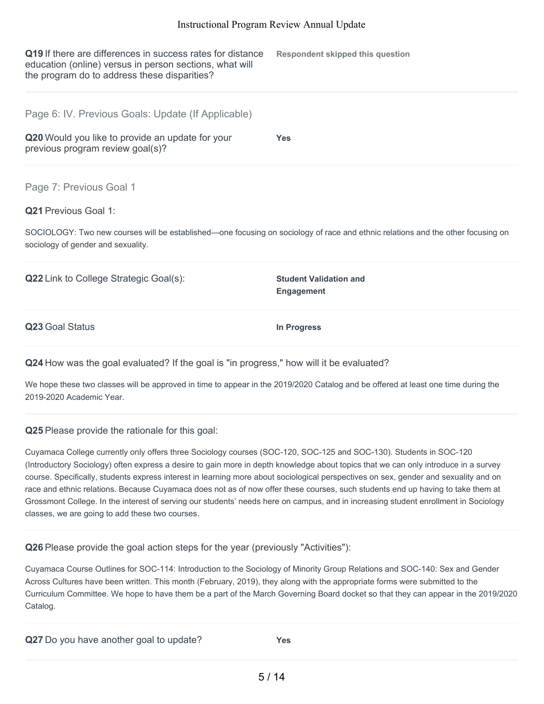| Q19 If there are differences in success rates for distance<br>education (online) versus in person sections, what will<br>the program do to address these disparities?                                                           | <b>Respondent skipped this question</b>            |
|---------------------------------------------------------------------------------------------------------------------------------------------------------------------------------------------------------------------------------|----------------------------------------------------|
| Page 6: IV. Previous Goals: Update (If Applicable)<br>Q20 Would you like to provide an update for your<br>previous program review goal(s)?                                                                                      | Yes                                                |
| Page 7: Previous Goal 1<br><b>Q21</b> Previous Goal 1:<br>SOCIOLOGY: Two new courses will be established—one focusing on sociology of race and ethnic relations and the other focusing on<br>sociology of gender and sexuality. |                                                    |
| <b>Q22</b> Link to College Strategic Goal(s):                                                                                                                                                                                   | <b>Student Validation and</b><br><b>Engagement</b> |

**Q23** Goal Status **In Progress**

## **Q24** How was the goal evaluated? If the goal is "in progress," how will it be evaluated?

We hope these two classes will be approved in time to appear in the 2019/2020 Catalog and be offered at least one time during the 2019-2020 Academic Year.

## **Q25** Please provide the rationale for this goal:

Cuyamaca College currently only offers three Sociology courses (SOC-120, SOC-125 and SOC-130). Students in SOC-120 (Introductory Sociology) often express a desire to gain more in depth knowledge about topics that we can only introduce in a survey course. Specifically, students express interest in learning more about sociological perspectives on sex, gender and sexuality and on race and ethnic relations. Because Cuyamaca does not as of now offer these courses, such students end up having to take them at Grossmont College. In the interest of serving our students' needs here on campus, and in increasing student enrollment in Sociology classes, we are going to add these two courses.

**Q26** Please provide the goal action steps for the year (previously "Activities"):

Cuyamaca Course Outlines for SOC-114: Introduction to the Sociology of Minority Group Relations and SOC-140: Sex and Gender Across Cultures have been written. This month (February, 2019), they along with the appropriate forms were submitted to the Curriculum Committee. We hope to have them be a part of the March Governing Board docket so that they can appear in the 2019/2020 Catalog.

|  | Q27 Do you have another goal to update? | <b>Yes</b> |
|--|-----------------------------------------|------------|
|--|-----------------------------------------|------------|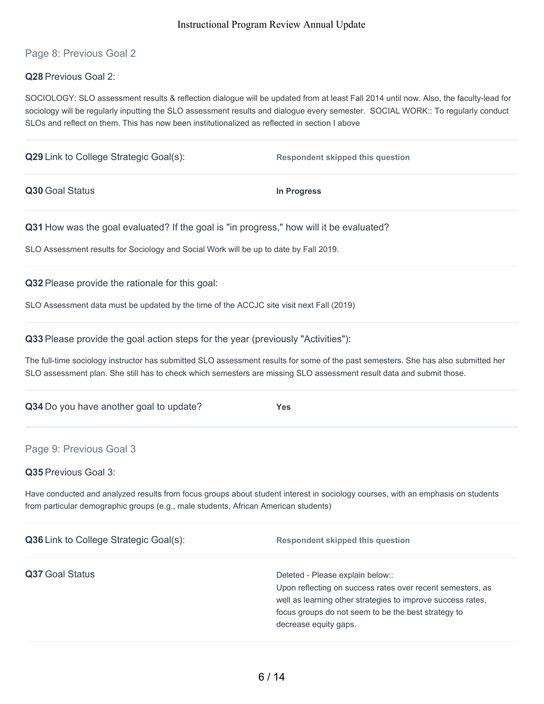Page 8: Previous Goal 2

**Q28** Previous Goal 2:

SOCIOLOGY: SLO assessment results & reflection dialogue will be updated from at least Fall 2014 until now. Also, the faculty-lead for sociology will be regularly inputting the SLO assessment results and dialogue every semester. SOCIAL WORK:: To regularly conduct SLOs and reflect on them. This has now been institutionalized as reflected in section I above

| <b>Q29</b> Link to College Strategic Goal(s): | <b>Respondent skipped this question</b> |  |
|-----------------------------------------------|-----------------------------------------|--|
| Q30 Goal Status                               | In Progress                             |  |
|                                               |                                         |  |

**Q31** How was the goal evaluated? If the goal is "in progress," how will it be evaluated?

SLO Assessment results for Sociology and Social Work will be up to date by Fall 2019.

**Q32** Please provide the rationale for this goal:

SLO Assessment data must be updated by the time of the ACCJC site visit next Fall (2019)

| Q33 Please provide the goal action steps for the year (previously "Activities"): |  |  |
|----------------------------------------------------------------------------------|--|--|
|----------------------------------------------------------------------------------|--|--|

The full-time sociology instructor has submitted SLO assessment results for some of the past semesters. She has also submitted her SLO assessment plan. She still has to check which semesters are missing SLO assessment result data and submit those.

|  | Q34 Do you have another goal to update? | <b>Yes</b> |
|--|-----------------------------------------|------------|
|  |                                         |            |

## Page 9: Previous Goal 3

**Q35** Previous Goal 3:

Have conducted and analyzed results from focus groups about student interest in sociology courses, with an emphasis on students from particular demographic groups (e.g., male students, African American students)

| Q36 Link to College Strategic Goal(s): | <b>Respondent skipped this question</b>                                                                                                                                                                                                       |
|----------------------------------------|-----------------------------------------------------------------------------------------------------------------------------------------------------------------------------------------------------------------------------------------------|
| Q37 Goal Status                        | Deleted - Please explain below::<br>Upon reflecting on success rates over recent semesters, as<br>well as learning other strategies to improve success rates,<br>focus groups do not seem to be the best strategy to<br>decrease equity gaps. |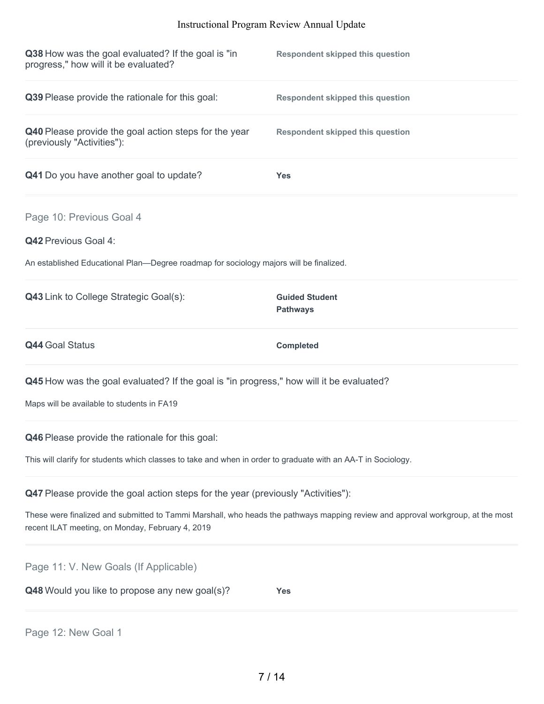| Q38 How was the goal evaluated? If the goal is "in<br>progress," how will it be evaluated?                                                                       | <b>Respondent skipped this question</b>                                                                                         |  |
|------------------------------------------------------------------------------------------------------------------------------------------------------------------|---------------------------------------------------------------------------------------------------------------------------------|--|
| Q39 Please provide the rationale for this goal:                                                                                                                  | <b>Respondent skipped this question</b>                                                                                         |  |
| Q40 Please provide the goal action steps for the year<br>(previously "Activities"):                                                                              | <b>Respondent skipped this question</b>                                                                                         |  |
| Q41 Do you have another goal to update?                                                                                                                          | <b>Yes</b>                                                                                                                      |  |
| Page 10: Previous Goal 4<br><b>Q42 Previous Goal 4:</b>                                                                                                          |                                                                                                                                 |  |
| An established Educational Plan—Degree roadmap for sociology majors will be finalized.                                                                           |                                                                                                                                 |  |
| <b>Q43</b> Link to College Strategic Goal(s):                                                                                                                    | <b>Guided Student</b><br><b>Pathways</b>                                                                                        |  |
| <b>Q44 Goal Status</b>                                                                                                                                           | <b>Completed</b>                                                                                                                |  |
| Q45 How was the goal evaluated? If the goal is "in progress," how will it be evaluated?<br>Maps will be available to students in FA19                            |                                                                                                                                 |  |
| Q46 Please provide the rationale for this goal:<br>This will clarify for students which classes to take and when in order to graduate with an AA-T in Sociology. |                                                                                                                                 |  |
| <b>Q47</b> Please provide the goal action steps for the year (previously "Activities"):<br>recent ILAT meeting, on Monday, February 4, 2019                      | These were finalized and submitted to Tammi Marshall, who heads the pathways mapping review and approval workgroup, at the most |  |

Page 11: V. New Goals (If Applicable)

**Q48** Would you like to propose any new goal(s)? **Yes**

Page 12: New Goal 1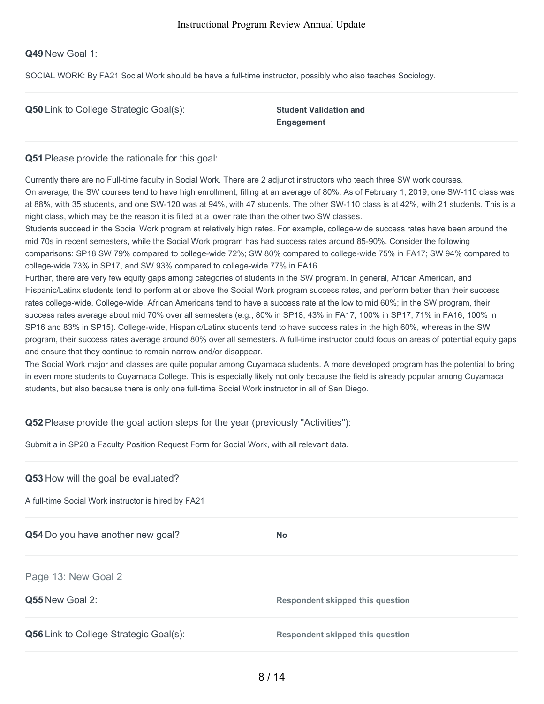#### **Q49** New Goal 1:

SOCIAL WORK: By FA21 Social Work should be have a full-time instructor, possibly who also teaches Sociology.

|  |  |  |  | Q50 Link to College Strategic Goal(s): |  |
|--|--|--|--|----------------------------------------|--|
|--|--|--|--|----------------------------------------|--|

**Student Validation and Engagement**

#### **Q51** Please provide the rationale for this goal:

Currently there are no Full-time faculty in Social Work. There are 2 adjunct instructors who teach three SW work courses. On average, the SW courses tend to have high enrollment, filling at an average of 80%. As of February 1, 2019, one SW-110 class was at 88%, with 35 students, and one SW-120 was at 94%, with 47 students. The other SW-110 class is at 42%, with 21 students. This is a night class, which may be the reason it is filled at a lower rate than the other two SW classes.

Students succeed in the Social Work program at relatively high rates. For example, college-wide success rates have been around the mid 70s in recent semesters, while the Social Work program has had success rates around 85-90%. Consider the following comparisons: SP18 SW 79% compared to college-wide 72%; SW 80% compared to college-wide 75% in FA17; SW 94% compared to college-wide 73% in SP17, and SW 93% compared to college-wide 77% in FA16.

Further, there are very few equity gaps among categories of students in the SW program. In general, African American, and Hispanic/Latinx students tend to perform at or above the Social Work program success rates, and perform better than their success rates college-wide. College-wide, African Americans tend to have a success rate at the low to mid 60%; in the SW program, their success rates average about mid 70% over all semesters (e.g., 80% in SP18, 43% in FA17, 100% in SP17, 71% in FA16, 100% in SP16 and 83% in SP15). College-wide, Hispanic/Latinx students tend to have success rates in the high 60%, whereas in the SW program, their success rates average around 80% over all semesters. A full-time instructor could focus on areas of potential equity gaps and ensure that they continue to remain narrow and/or disappear.

The Social Work major and classes are quite popular among Cuyamaca students. A more developed program has the potential to bring in even more students to Cuyamaca College. This is especially likely not only because the field is already popular among Cuyamaca students, but also because there is only one full-time Social Work instructor in all of San Diego.

## **Q52** Please provide the goal action steps for the year (previously "Activities"):

Submit a in SP20 a Faculty Position Request Form for Social Work, with all relevant data.

#### **Q53** How will the goal be evaluated?

A full-time Social Work instructor is hired by FA21

**Q54** Do you have another new goal?

Page 13: New Goal 2

**Q55** New Goal 2: **Respondent skipped this question**

**Q56** Link to College Strategic Goal(s): **Respondent skipped this question**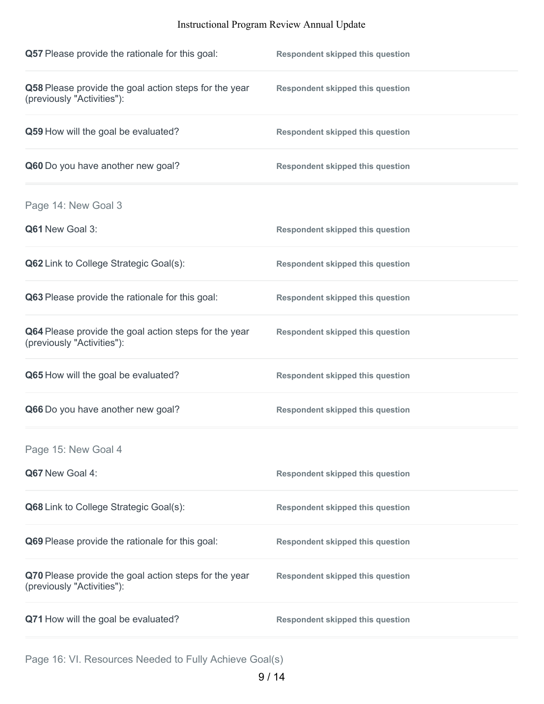| Q57 Please provide the rationale for this goal:                                     | <b>Respondent skipped this question</b> |
|-------------------------------------------------------------------------------------|-----------------------------------------|
| Q58 Please provide the goal action steps for the year<br>(previously "Activities"): | <b>Respondent skipped this question</b> |
| Q59 How will the goal be evaluated?                                                 | <b>Respondent skipped this question</b> |
| Q60 Do you have another new goal?                                                   | <b>Respondent skipped this question</b> |
| Page 14: New Goal 3                                                                 |                                         |
| Q61 New Goal 3:                                                                     | <b>Respondent skipped this question</b> |
| <b>Q62</b> Link to College Strategic Goal(s):                                       | <b>Respondent skipped this question</b> |
| Q63 Please provide the rationale for this goal:                                     | <b>Respondent skipped this question</b> |
| Q64 Please provide the goal action steps for the year<br>(previously "Activities"): | <b>Respondent skipped this question</b> |
| Q65 How will the goal be evaluated?                                                 | <b>Respondent skipped this question</b> |
| Q66 Do you have another new goal?                                                   | <b>Respondent skipped this question</b> |
| Page 15: New Goal 4                                                                 |                                         |
| Q67 New Goal 4:                                                                     | <b>Respondent skipped this question</b> |
| Q68 Link to College Strategic Goal(s):                                              | <b>Respondent skipped this question</b> |
| Q69 Please provide the rationale for this goal:                                     | <b>Respondent skipped this question</b> |
| Q70 Please provide the goal action steps for the year<br>(previously "Activities"): | <b>Respondent skipped this question</b> |
| Q71 How will the goal be evaluated?                                                 | <b>Respondent skipped this question</b> |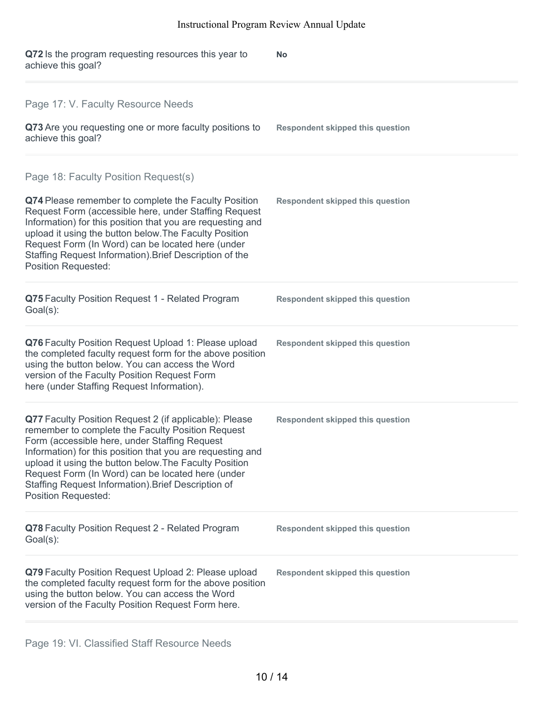| Q72 Is the program requesting resources this year to<br>achieve this goal?                                                                                                                                                                                                                                                                                                                                                     | <b>No</b>                               |
|--------------------------------------------------------------------------------------------------------------------------------------------------------------------------------------------------------------------------------------------------------------------------------------------------------------------------------------------------------------------------------------------------------------------------------|-----------------------------------------|
| Page 17: V. Faculty Resource Needs<br>Q73 Are you requesting one or more faculty positions to<br>achieve this goal?                                                                                                                                                                                                                                                                                                            | <b>Respondent skipped this question</b> |
| Page 18: Faculty Position Request(s)<br>Q74 Please remember to complete the Faculty Position<br>Request Form (accessible here, under Staffing Request<br>Information) for this position that you are requesting and<br>upload it using the button below. The Faculty Position<br>Request Form (In Word) can be located here (under<br>Staffing Request Information). Brief Description of the<br><b>Position Requested:</b>    | <b>Respondent skipped this question</b> |
| Q75 Faculty Position Request 1 - Related Program<br>Goal(s):                                                                                                                                                                                                                                                                                                                                                                   | <b>Respondent skipped this question</b> |
| Q76 Faculty Position Request Upload 1: Please upload<br>the completed faculty request form for the above position<br>using the button below. You can access the Word<br>version of the Faculty Position Request Form<br>here (under Staffing Request Information).                                                                                                                                                             | <b>Respondent skipped this question</b> |
| Q77 Faculty Position Request 2 (if applicable): Please<br>remember to complete the Faculty Position Request<br>Form (accessible here, under Staffing Request<br>Information) for this position that you are requesting and<br>upload it using the button below. The Faculty Position<br>Request Form (In Word) can be located here (under<br>Staffing Request Information). Brief Description of<br><b>Position Requested:</b> | <b>Respondent skipped this question</b> |
| Q78 Faculty Position Request 2 - Related Program<br>Goal(s):                                                                                                                                                                                                                                                                                                                                                                   | <b>Respondent skipped this question</b> |
| Q79 Faculty Position Request Upload 2: Please upload<br>the completed faculty request form for the above position<br>using the button below. You can access the Word<br>version of the Faculty Position Request Form here.                                                                                                                                                                                                     | <b>Respondent skipped this question</b> |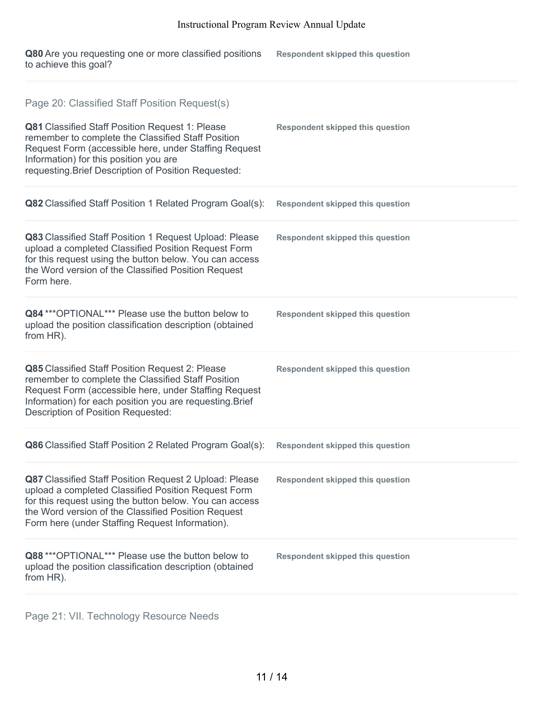**Q80** Are you requesting one or more classified positions to achieve this goal? **Respondent skipped this question**

| Page 20: Classified Staff Position Request(s)                                                                                                                                                                                                                                      |                                         |
|------------------------------------------------------------------------------------------------------------------------------------------------------------------------------------------------------------------------------------------------------------------------------------|-----------------------------------------|
| Q81 Classified Staff Position Request 1: Please<br>remember to complete the Classified Staff Position<br>Request Form (accessible here, under Staffing Request<br>Information) for this position you are<br>requesting. Brief Description of Position Requested:                   | <b>Respondent skipped this question</b> |
| Q82 Classified Staff Position 1 Related Program Goal(s):                                                                                                                                                                                                                           | <b>Respondent skipped this question</b> |
| Q83 Classified Staff Position 1 Request Upload: Please<br>upload a completed Classified Position Request Form<br>for this request using the button below. You can access<br>the Word version of the Classified Position Request<br>Form here.                                      | <b>Respondent skipped this question</b> |
| Q84 *** OPTIONAL*** Please use the button below to<br>upload the position classification description (obtained<br>from HR).                                                                                                                                                        | <b>Respondent skipped this question</b> |
| Q85 Classified Staff Position Request 2: Please<br>remember to complete the Classified Staff Position<br>Request Form (accessible here, under Staffing Request<br>Information) for each position you are requesting. Brief<br>Description of Position Requested:                   | <b>Respondent skipped this question</b> |
| Q86 Classified Staff Position 2 Related Program Goal(s):                                                                                                                                                                                                                           | <b>Respondent skipped this question</b> |
| Q87 Classified Staff Position Request 2 Upload: Please<br>upload a completed Classified Position Request Form<br>for this request using the button below. You can access<br>the Word version of the Classified Position Request<br>Form here (under Staffing Request Information). | <b>Respondent skipped this question</b> |
| Q88 *** OPTIONAL*** Please use the button below to<br>upload the position classification description (obtained<br>from HR).                                                                                                                                                        | <b>Respondent skipped this question</b> |

Page 21: VII. Technology Resource Needs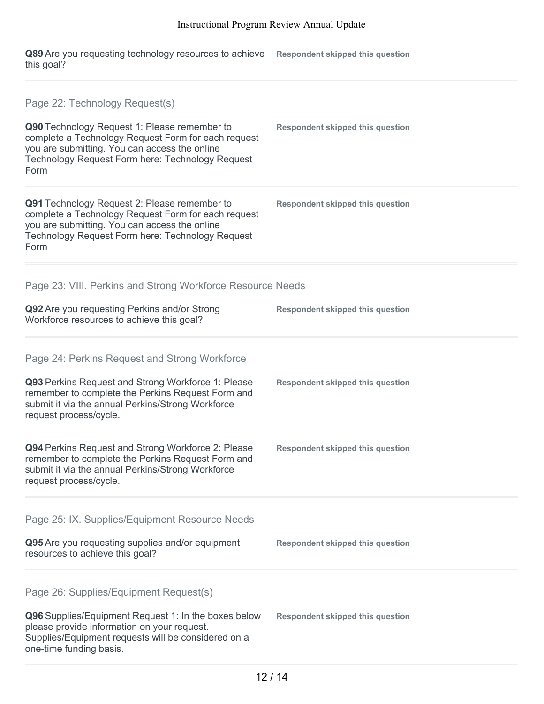**Q89** Are you requesting technology resources to achieve **Respondent skipped this question** this goal?

| Page 22: Technology Request(s)                                                                                                                                                                                                          |                                         |
|-----------------------------------------------------------------------------------------------------------------------------------------------------------------------------------------------------------------------------------------|-----------------------------------------|
| Q90 Technology Request 1: Please remember to<br>complete a Technology Request Form for each request<br>you are submitting. You can access the online<br>Technology Request Form here: Technology Request<br>Form                        | <b>Respondent skipped this question</b> |
| Q91 Technology Request 2: Please remember to<br>complete a Technology Request Form for each request<br>you are submitting. You can access the online<br>Technology Request Form here: Technology Request<br>Form                        | <b>Respondent skipped this question</b> |
| Page 23: VIII. Perkins and Strong Workforce Resource Needs                                                                                                                                                                              |                                         |
| Q92 Are you requesting Perkins and/or Strong<br>Workforce resources to achieve this goal?                                                                                                                                               | <b>Respondent skipped this question</b> |
| Page 24: Perkins Request and Strong Workforce<br>Q93 Perkins Request and Strong Workforce 1: Please<br>remember to complete the Perkins Request Form and<br>submit it via the annual Perkins/Strong Workforce<br>request process/cycle. | <b>Respondent skipped this question</b> |
| Q94 Perkins Request and Strong Workforce 2: Please<br>remember to complete the Perkins Request Form and<br>submit it via the annual Perkins/Strong Workforce<br>request process/cycle.                                                  | <b>Respondent skipped this question</b> |
| Page 25: IX. Supplies/Equipment Resource Needs                                                                                                                                                                                          |                                         |
| Q95 Are you requesting supplies and/or equipment<br>resources to achieve this goal?                                                                                                                                                     | <b>Respondent skipped this question</b> |
| Page 26: Supplies/Equipment Request(s)                                                                                                                                                                                                  |                                         |
| Q96 Supplies/Equipment Request 1: In the boxes below<br>please provide information on your request.<br>Supplies/Equipment requests will be considered on a<br>one-time funding basis.                                                   | <b>Respondent skipped this question</b> |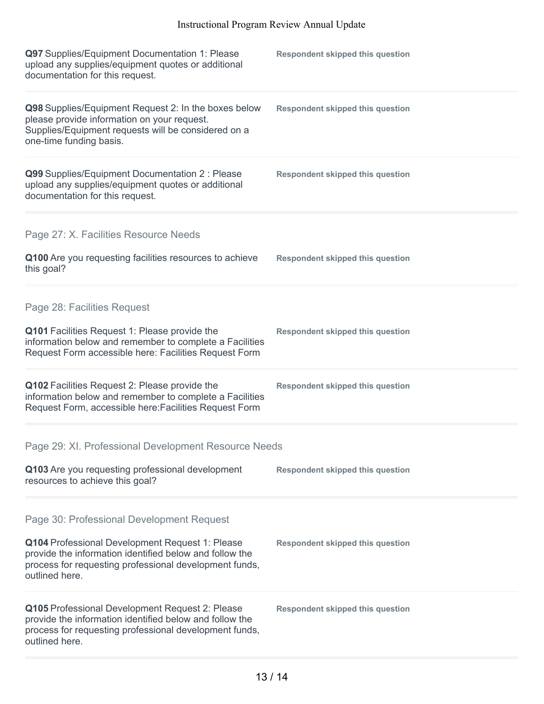| Q97 Supplies/Equipment Documentation 1: Please<br>upload any supplies/equipment quotes or additional<br>documentation for this request.                                                | <b>Respondent skipped this question</b> |
|----------------------------------------------------------------------------------------------------------------------------------------------------------------------------------------|-----------------------------------------|
| Q98 Supplies/Equipment Request 2: In the boxes below<br>please provide information on your request.<br>Supplies/Equipment requests will be considered on a<br>one-time funding basis.  | <b>Respondent skipped this question</b> |
| Q99 Supplies/Equipment Documentation 2 : Please<br>upload any supplies/equipment quotes or additional<br>documentation for this request.                                               | <b>Respondent skipped this question</b> |
| Page 27: X. Facilities Resource Needs                                                                                                                                                  |                                         |
| Q100 Are you requesting facilities resources to achieve<br>this goal?                                                                                                                  | <b>Respondent skipped this question</b> |
| Page 28: Facilities Request                                                                                                                                                            |                                         |
| Q101 Facilities Request 1: Please provide the<br>information below and remember to complete a Facilities<br>Request Form accessible here: Facilities Request Form                      | <b>Respondent skipped this question</b> |
| Q102 Facilities Request 2: Please provide the<br>information below and remember to complete a Facilities<br>Request Form, accessible here: Facilities Request Form                     | <b>Respondent skipped this question</b> |
| Page 29: XI. Professional Development Resource Needs                                                                                                                                   |                                         |
| Q103 Are you requesting professional development<br>resources to achieve this goal?                                                                                                    | <b>Respondent skipped this question</b> |
| Page 30: Professional Development Request                                                                                                                                              |                                         |
| Q104 Professional Development Request 1: Please<br>provide the information identified below and follow the<br>process for requesting professional development funds,<br>outlined here. | <b>Respondent skipped this question</b> |
| Q105 Professional Development Request 2: Please<br>provide the information identified below and follow the<br>process for requesting professional development funds,<br>outlined here. | <b>Respondent skipped this question</b> |